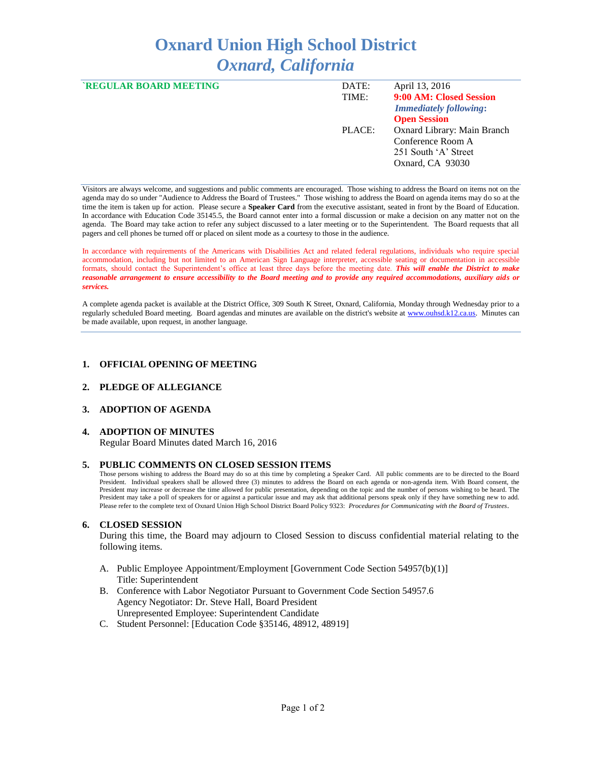# **Oxnard Union High School District**  *Oxnard, California*

| <b>`REGULAR BOARD MEETING</b> | DATE:  | April 13, 2016                |
|-------------------------------|--------|-------------------------------|
|                               | TIME:  | 9:00 AM: Closed Session       |
|                               |        | <b>Immediately following:</b> |
|                               |        | <b>Open Session</b>           |
|                               | PLACE: | Oxnard Library: Main Branch   |
|                               |        | Conference Room A             |
|                               |        | 251 South 'A' Street          |
|                               |        | Oxnard, CA 93030              |
|                               |        |                               |

Visitors are always welcome, and suggestions and public comments are encouraged. Those wishing to address the Board on items not on the agenda may do so under "Audience to Address the Board of Trustees." Those wishing to address the Board on agenda items may do so at the time the item is taken up for action. Please secure a **Speaker Card** from the executive assistant, seated in front by the Board of Education. In accordance with Education Code 35145.5, the Board cannot enter into a formal discussion or make a decision on any matter not on the agenda. The Board may take action to refer any subject discussed to a later meeting or to the Superintendent. The Board requests that all pagers and cell phones be turned off or placed on silent mode as a courtesy to those in the audience.

In accordance with requirements of the Americans with Disabilities Act and related federal regulations, individuals who require special accommodation, including but not limited to an American Sign Language interpreter, accessible seating or documentation in accessible formats, should contact the Superintendent's office at least three days before the meeting date. *This will enable the District to make reasonable arrangement to ensure accessibility to the Board meeting and to provide any required accommodations, auxiliary aids or services.* 

A complete agenda packet is available at the District Office, 309 South K Street, Oxnard, California, Monday through Wednesday prior to a regularly scheduled Board meeting. Board agendas and minutes are available on the district's website a[t www.ouhsd.k12.ca.us.](http://www.ouhsd.k12.ca.us/)Minutes can be made available, upon request, in another language.

#### **1. OFFICIAL OPENING OF MEETING**

#### **2. PLEDGE OF ALLEGIANCE**

# **3. ADOPTION OF AGENDA**

#### **4. ADOPTION OF MINUTES**

Regular Board Minutes dated March 16, 2016

#### **5. PUBLIC COMMENTS ON CLOSED SESSION ITEMS**

Those persons wishing to address the Board may do so at this time by completing a Speaker Card. All public comments are to be directed to the Board President. Individual speakers shall be allowed three (3) minutes to address the Board on each agenda or non-agenda item. With Board consent, the President may increase or decrease the time allowed for public presentation, depending on the topic and the number of persons wishing to be heard. The President may take a poll of speakers for or against a particular issue and may ask that additional persons speak only if they have something new to add. Please refer to the complete text of Oxnard Union High School District Board Policy 9323: *Procedures for Communicating with the Board of Trustees*.

#### **6. CLOSED SESSION**

During this time, the Board may adjourn to Closed Session to discuss confidential material relating to the following items.

- A. Public Employee Appointment/Employment [Government Code Section 54957(b)(1)] Title: Superintendent
- B. Conference with Labor Negotiator Pursuant to Government Code Section 54957.6 Agency Negotiator: Dr. Steve Hall, Board President Unrepresented Employee: Superintendent Candidate
- C. Student Personnel: [Education Code §35146, 48912, 48919]